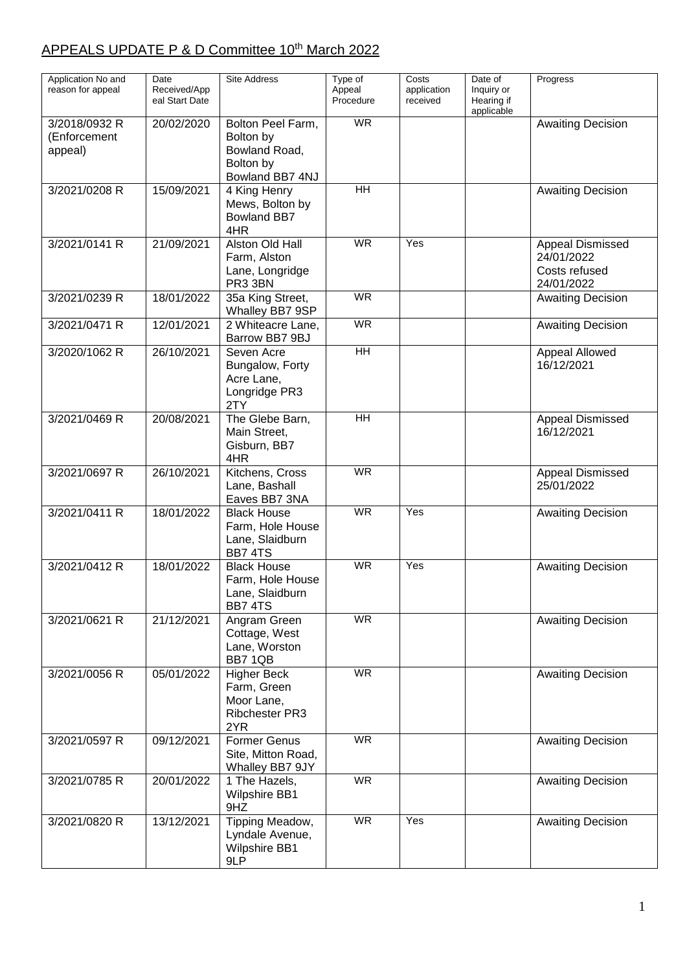## APPEALS UPDATE P & D Committee 10<sup>th</sup> March 2022

| Application No and                       | Date                           | Site Address                                                                    | Type of                  | Costs                   | Date of                                | Progress                                                      |
|------------------------------------------|--------------------------------|---------------------------------------------------------------------------------|--------------------------|-------------------------|----------------------------------------|---------------------------------------------------------------|
| reason for appeal                        | Received/App<br>eal Start Date |                                                                                 | Appeal<br>Procedure      | application<br>received | Inquiry or<br>Hearing if<br>applicable |                                                               |
| 3/2018/0932 R<br>(Enforcement<br>appeal) | 20/02/2020                     | Bolton Peel Farm,<br>Bolton by<br>Bowland Road,<br>Bolton by<br>Bowland BB7 4NJ | $\overline{\mathsf{WR}}$ |                         |                                        | <b>Awaiting Decision</b>                                      |
| 3/2021/0208 R                            | 15/09/2021                     | 4 King Henry<br>Mews, Bolton by<br><b>Bowland BB7</b><br>4HR                    | $\overline{H}$           |                         |                                        | <b>Awaiting Decision</b>                                      |
| 3/2021/0141 R                            | 21/09/2021                     | Alston Old Hall<br>Farm, Alston<br>Lane, Longridge<br>PR3 3BN                   | <b>WR</b>                | Yes                     |                                        | Appeal Dismissed<br>24/01/2022<br>Costs refused<br>24/01/2022 |
| 3/2021/0239 R                            | 18/01/2022                     | 35a King Street,<br>Whalley BB7 9SP                                             | <b>WR</b>                |                         |                                        | <b>Awaiting Decision</b>                                      |
| 3/2021/0471 R                            | 12/01/2021                     | 2 Whiteacre Lane,<br>Barrow BB7 9BJ                                             | <b>WR</b>                |                         |                                        | <b>Awaiting Decision</b>                                      |
| 3/2020/1062 R                            | 26/10/2021                     | Seven Acre<br>Bungalow, Forty<br>Acre Lane,<br>Longridge PR3<br>2TY             | H <sub>H</sub>           |                         |                                        | Appeal Allowed<br>16/12/2021                                  |
| 3/2021/0469 R                            | 20/08/2021                     | The Glebe Barn,<br>Main Street,<br>Gisburn, BB7<br>4HR                          | $\overline{H}$           |                         |                                        | Appeal Dismissed<br>16/12/2021                                |
| 3/2021/0697 R                            | 26/10/2021                     | Kitchens, Cross<br>Lane, Bashall<br>Eaves BB7 3NA                               | <b>WR</b>                |                         |                                        | Appeal Dismissed<br>25/01/2022                                |
| 3/2021/0411 R                            | 18/01/2022                     | <b>Black House</b><br>Farm, Hole House<br>Lane, Slaidburn<br><b>BB7 4TS</b>     | $\overline{\mathsf{WR}}$ | Yes                     |                                        | <b>Awaiting Decision</b>                                      |
| 3/2021/0412 R                            | 18/01/2022                     | <b>Black House</b><br>Farm, Hole House<br>Lane, Slaidburn<br><b>BB7 4TS</b>     | <b>WR</b>                | Yes                     |                                        | <b>Awaiting Decision</b>                                      |
| 3/2021/0621 R                            | 21/12/2021                     | Angram Green<br>Cottage, West<br>Lane, Worston<br>BB7 1QB                       | <b>WR</b>                |                         |                                        | <b>Awaiting Decision</b>                                      |
| 3/2021/0056 R                            | 05/01/2022                     | <b>Higher Beck</b><br>Farm, Green<br>Moor Lane,<br>Ribchester PR3<br>2YR        | <b>WR</b>                |                         |                                        | <b>Awaiting Decision</b>                                      |
| 3/2021/0597 R                            | 09/12/2021                     | <b>Former Genus</b><br>Site, Mitton Road,<br>Whalley BB7 9JY                    | <b>WR</b>                |                         |                                        | <b>Awaiting Decision</b>                                      |
| 3/2021/0785 R                            | 20/01/2022                     | 1 The Hazels,<br><b>Wilpshire BB1</b><br>9HZ                                    | <b>WR</b>                |                         |                                        | <b>Awaiting Decision</b>                                      |
| 3/2021/0820 R                            | 13/12/2021                     | Tipping Meadow,<br>Lyndale Avenue,<br><b>Wilpshire BB1</b><br>9LP               | <b>WR</b>                | Yes                     |                                        | <b>Awaiting Decision</b>                                      |